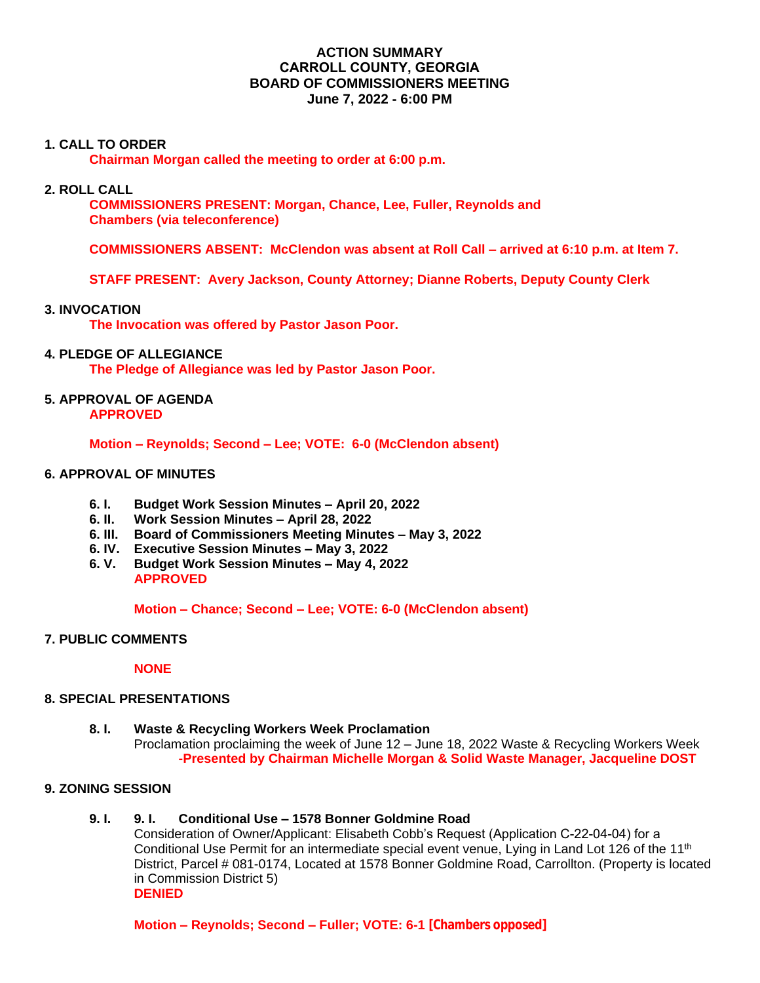# **ACTION SUMMARY CARROLL COUNTY, GEORGIA BOARD OF COMMISSIONERS MEETING June 7, 2022 - 6:00 PM**

## **1. CALL TO ORDER**

**Chairman Morgan called the meeting to order at 6:00 p.m.**

### **2. ROLL CALL**

**COMMISSIONERS PRESENT: Morgan, Chance, Lee, Fuller, Reynolds and Chambers (via teleconference)**

 **COMMISSIONERS ABSENT: McClendon was absent at Roll Call – arrived at 6:10 p.m. at Item 7.**

**STAFF PRESENT: Avery Jackson, County Attorney; Dianne Roberts, Deputy County Clerk**

### **3. INVOCATION**

**The Invocation was offered by Pastor Jason Poor.**

### **4. PLEDGE OF ALLEGIANCE**

**The Pledge of Allegiance was led by Pastor Jason Poor.**

#### **5. APPROVAL OF AGENDA APPROVED**

**Motion – Reynolds; Second – Lee; VOTE: 6-0 (McClendon absent)**

### **6. APPROVAL OF MINUTES**

- **6. I. Budget Work Session Minutes – April 20, 2022**
- **6. II. Work Session Minutes – April 28, 2022**
- **6. III. Board of Commissioners Meeting Minutes – May 3, 2022**
- **6. IV. Executive Session Minutes – May 3, 2022**
- **6. V. Budget Work Session Minutes – May 4, 2022 APPROVED**

**Motion – Chance; Second – Lee; VOTE: 6-0 (McClendon absent)**

### **7. PUBLIC COMMENTS**

#### **NONE**

## **8. SPECIAL PRESENTATIONS**

**8. I. Waste & Recycling Workers Week Proclamation** Proclamation proclaiming the week of June 12 – June 18, 2022 Waste & Recycling Workers Week **-Presented by Chairman Michelle Morgan & Solid Waste Manager, Jacqueline DOST**

### **9. ZONING SESSION**

## **9. I. 9. I. Conditional Use – 1578 Bonner Goldmine Road**

Consideration of Owner/Applicant: Elisabeth Cobb's Request (Application C-22-04-04) for a Conditional Use Permit for an intermediate special event venue, Lying in Land Lot 126 of the 11<sup>th</sup> District, Parcel # 081-0174, Located at 1578 Bonner Goldmine Road, Carrollton. (Property is located in Commission District 5) **DENIED**

**Motion – Reynolds; Second – Fuller; VOTE: 6-1 [Chambers opposed]**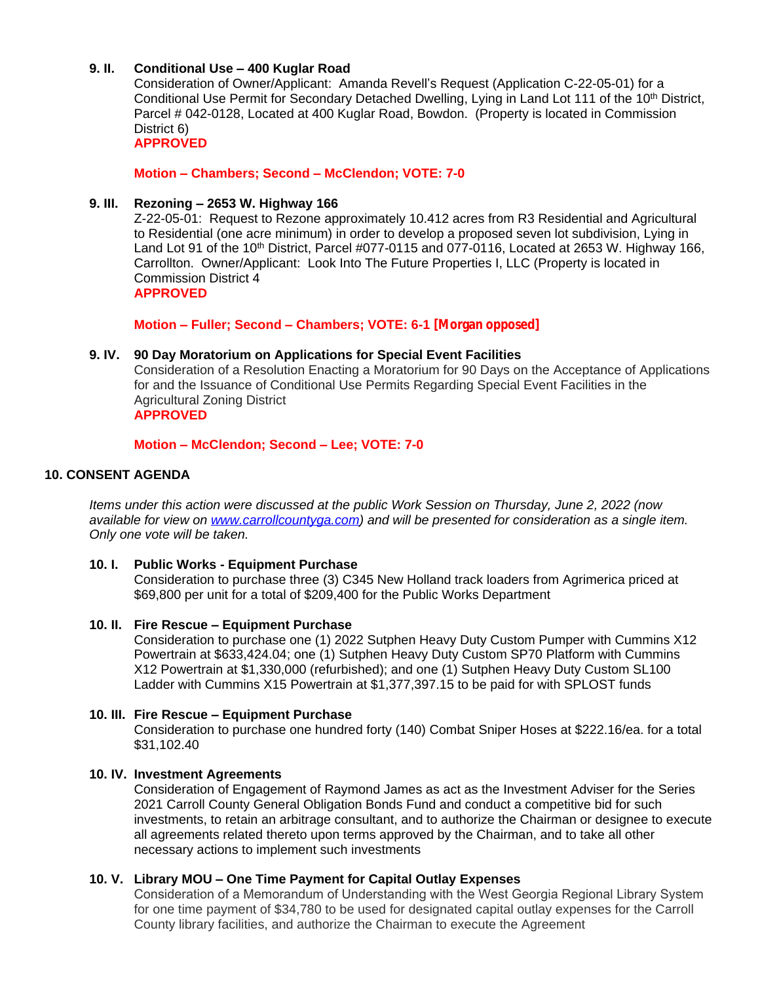# **9. II. Conditional Use – 400 Kuglar Road**

Consideration of Owner/Applicant: Amanda Revell's Request (Application C-22-05-01) for a Conditional Use Permit for Secondary Detached Dwelling, Lying in Land Lot 111 of the 10<sup>th</sup> District, Parcel # 042-0128, Located at 400 Kuglar Road, Bowdon. (Property is located in Commission District 6)

**APPROVED**

**Motion – Chambers; Second – McClendon; VOTE: 7-0**

#### **9. III. Rezoning – 2653 W. Highway 166**

Z-22-05-01: Request to Rezone approximately 10.412 acres from R3 Residential and Agricultural to Residential (one acre minimum) in order to develop a proposed seven lot subdivision, Lying in Land Lot 91 of the 10<sup>th</sup> District, Parcel #077-0115 and 077-0116, Located at 2653 W. Highway 166, Carrollton. Owner/Applicant: Look Into The Future Properties I, LLC (Property is located in Commission District 4 **APPROVED**

**Motion – Fuller; Second – Chambers; VOTE: 6-1 [Morgan opposed]**

### **9. IV. 90 Day Moratorium on Applications for Special Event Facilities**

Consideration of a Resolution Enacting a Moratorium for 90 Days on the Acceptance of Applications for and the Issuance of Conditional Use Permits Regarding Special Event Facilities in the Agricultural Zoning District

# **APPROVED**

### **Motion – McClendon; Second – Lee; VOTE: 7-0**

## **10. CONSENT AGENDA**

*Items under this action were discussed at the public Work Session on Thursday, June 2, 2022 (now available for view on [www.carrollcountyga.com\)](http://www.carrollcountyga.com) and will be presented for consideration as a single item. Only one vote will be taken.*

#### **10. I. Public Works - Equipment Purchase**

Consideration to purchase three (3) C345 New Holland track loaders from Agrimerica priced at \$69,800 per unit for a total of \$209,400 for the Public Works Department

#### **10. II. Fire Rescue – Equipment Purchase**

Consideration to purchase one (1) 2022 Sutphen Heavy Duty Custom Pumper with Cummins X12 Powertrain at \$633,424.04; one (1) Sutphen Heavy Duty Custom SP70 Platform with Cummins X12 Powertrain at \$1,330,000 (refurbished); and one (1) Sutphen Heavy Duty Custom SL100 Ladder with Cummins X15 Powertrain at \$1,377,397.15 to be paid for with SPLOST funds

#### **10. III. Fire Rescue – Equipment Purchase**

Consideration to purchase one hundred forty (140) Combat Sniper Hoses at \$222.16/ea. for a total \$31,102.40

#### **10. IV. Investment Agreements**

Consideration of Engagement of Raymond James as act as the Investment Adviser for the Series 2021 Carroll County General Obligation Bonds Fund and conduct a competitive bid for such investments, to retain an arbitrage consultant, and to authorize the Chairman or designee to execute all agreements related thereto upon terms approved by the Chairman, and to take all other necessary actions to implement such investments

## **10. V. Library MOU – One Time Payment for Capital Outlay Expenses**

Consideration of a Memorandum of Understanding with the West Georgia Regional Library System for one time payment of \$34,780 to be used for designated capital outlay expenses for the Carroll County library facilities, and authorize the Chairman to execute the Agreement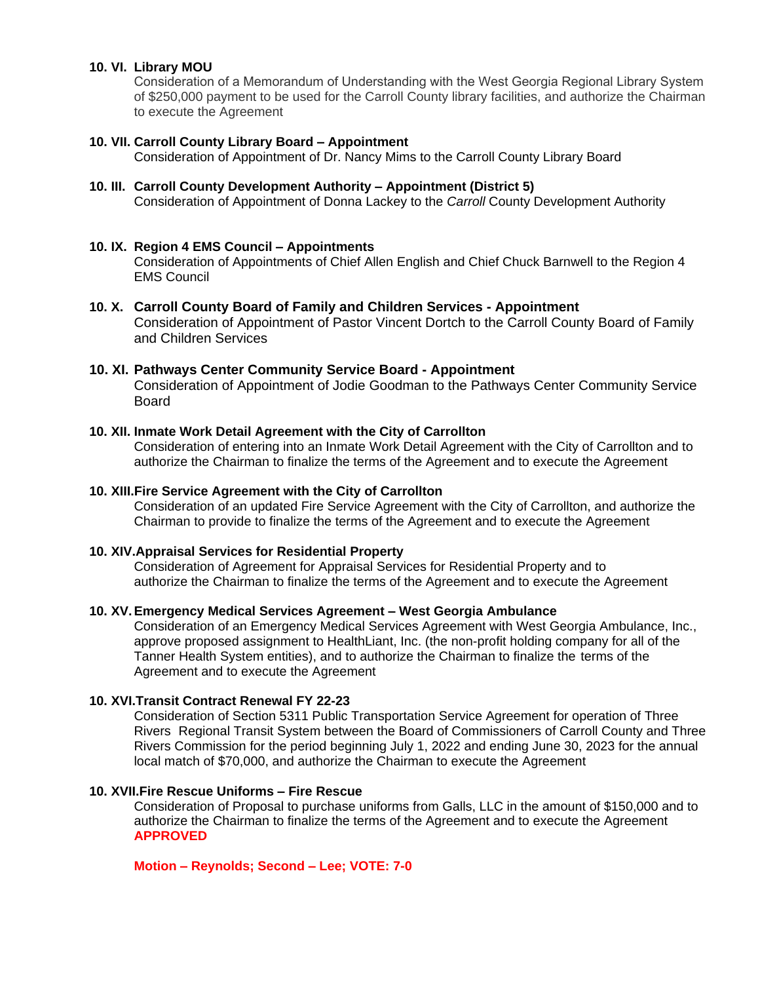## **10. VI. Library MOU**

Consideration of a Memorandum of Understanding with the West Georgia Regional Library System of \$250,000 payment to be used for the Carroll County library facilities, and authorize the Chairman to execute the Agreement

#### **10. VII. Carroll County Library Board – Appointment**

Consideration of Appointment of Dr. Nancy Mims to the Carroll County Library Board

#### **10. III. Carroll County Development Authority – Appointment (District 5)**

Consideration of Appointment of Donna Lackey to the *Carroll* County Development Authority

#### **10. IX. Region 4 EMS Council – Appointments**

Consideration of Appointments of Chief Allen English and Chief Chuck Barnwell to the Region 4 EMS Council

### **10. X. Carroll County Board of Family and Children Services - Appointment**

Consideration of Appointment of Pastor Vincent Dortch to the Carroll County Board of Family and Children Services

### **10. XI. Pathways Center Community Service Board - Appointment**

Consideration of Appointment of Jodie Goodman to the Pathways Center Community Service Board

#### **10. XII. Inmate Work Detail Agreement with the City of Carrollton**

Consideration of entering into an Inmate Work Detail Agreement with the City of Carrollton and to authorize the Chairman to finalize the terms of the Agreement and to execute the Agreement

#### **10. XIII.Fire Service Agreement with the City of Carrollton**

Consideration of an updated Fire Service Agreement with the City of Carrollton, and authorize the Chairman to provide to finalize the terms of the Agreement and to execute the Agreement

#### **10. XIV.Appraisal Services for Residential Property**

Consideration of Agreement for Appraisal Services for Residential Property and to authorize the Chairman to finalize the terms of the Agreement and to execute the Agreement

#### **10. XV.Emergency Medical Services Agreement – West Georgia Ambulance**

Consideration of an Emergency Medical Services Agreement with West Georgia Ambulance, Inc., approve proposed assignment to HealthLiant, Inc. (the non-profit holding company for all of the Tanner Health System entities), and to authorize the Chairman to finalize the terms of the Agreement and to execute the Agreement

#### **10. XVI.Transit Contract Renewal FY 22-23**

Consideration of Section 5311 Public Transportation Service Agreement for operation of Three Rivers Regional Transit System between the Board of Commissioners of Carroll County and Three Rivers Commission for the period beginning July 1, 2022 and ending June 30, 2023 for the annual local match of \$70,000, and authorize the Chairman to execute the Agreement

### **10. XVII.Fire Rescue Uniforms – Fire Rescue**

Consideration of Proposal to purchase uniforms from Galls, LLC in the amount of \$150,000 and to authorize the Chairman to finalize the terms of the Agreement and to execute the Agreement **APPROVED**

#### **Motion – Reynolds; Second – Lee; VOTE: 7-0**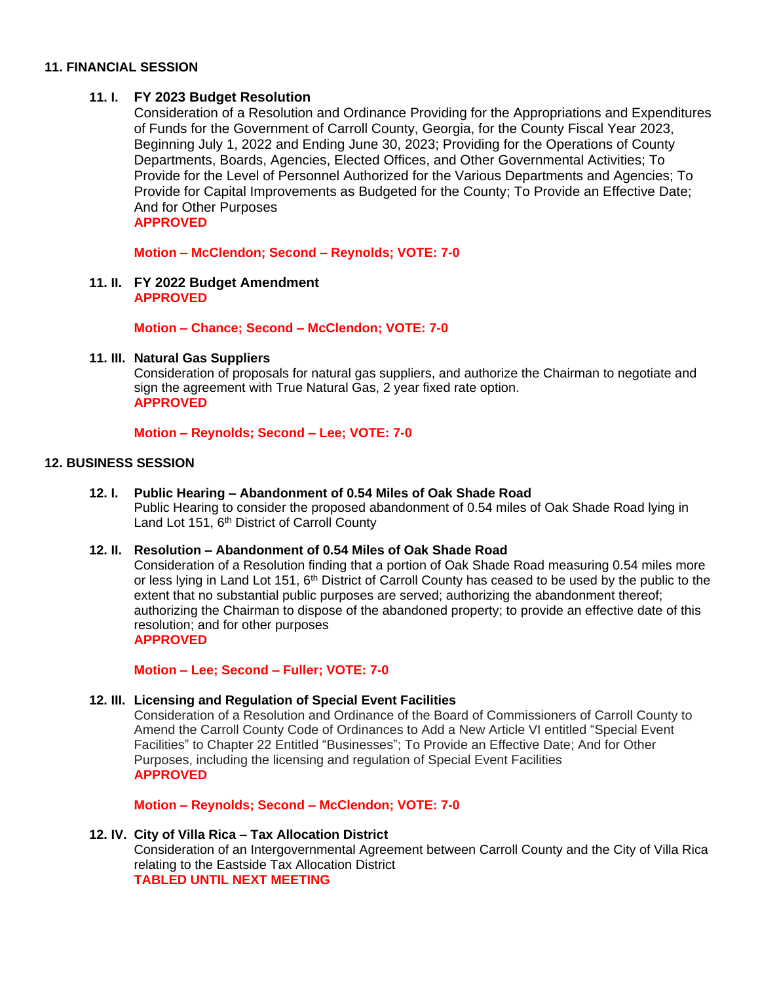### **11. FINANCIAL SESSION**

## **11. I. FY 2023 Budget Resolution**

Consideration of a Resolution and Ordinance Providing for the Appropriations and Expenditures of Funds for the Government of Carroll County, Georgia, for the County Fiscal Year 2023, Beginning July 1, 2022 and Ending June 30, 2023; Providing for the Operations of County Departments, Boards, Agencies, Elected Offices, and Other Governmental Activities; To Provide for the Level of Personnel Authorized for the Various Departments and Agencies; To Provide for Capital Improvements as Budgeted for the County; To Provide an Effective Date; And for Other Purposes **APPROVED**

**Motion – McClendon; Second – Reynolds; VOTE: 7-0**

**11. II. FY 2022 Budget Amendment APPROVED**

## **Motion – Chance; Second – McClendon; VOTE: 7-0**

### **11. III. Natural Gas Suppliers**

Consideration of proposals for natural gas suppliers, and authorize the Chairman to negotiate and sign the agreement with True Natural Gas, 2 year fixed rate option. **APPROVED**

### **Motion – Reynolds; Second – Lee; VOTE: 7-0**

### **12. BUSINESS SESSION**

**12. I. Public Hearing – Abandonment of 0.54 Miles of Oak Shade Road** Public Hearing to consider the proposed abandonment of 0.54 miles of Oak Shade Road lying in Land Lot 151, 6<sup>th</sup> District of Carroll County

#### **12. II. Resolution – Abandonment of 0.54 Miles of Oak Shade Road**

Consideration of a Resolution finding that a portion of Oak Shade Road measuring 0.54 miles more or less lying in Land Lot 151, 6<sup>th</sup> District of Carroll County has ceased to be used by the public to the extent that no substantial public purposes are served; authorizing the abandonment thereof; authorizing the Chairman to dispose of the abandoned property; to provide an effective date of this resolution; and for other purposes **APPROVED**

# **Motion – Lee; Second – Fuller; VOTE: 7-0**

## **12. III. Licensing and Regulation of Special Event Facilities**

Consideration of a Resolution and Ordinance of the Board of Commissioners of Carroll County to Amend the Carroll County Code of Ordinances to Add a New Article VI entitled "Special Event Facilities" to Chapter 22 Entitled "Businesses"; To Provide an Effective Date; And for Other Purposes, including the licensing and regulation of Special Event Facilities **APPROVED**

**Motion – Reynolds; Second – McClendon; VOTE: 7-0**

#### **12. IV. City of Villa Rica – Tax Allocation District**

Consideration of an Intergovernmental Agreement between Carroll County and the City of Villa Rica relating to the Eastside Tax Allocation District **TABLED UNTIL NEXT MEETING**